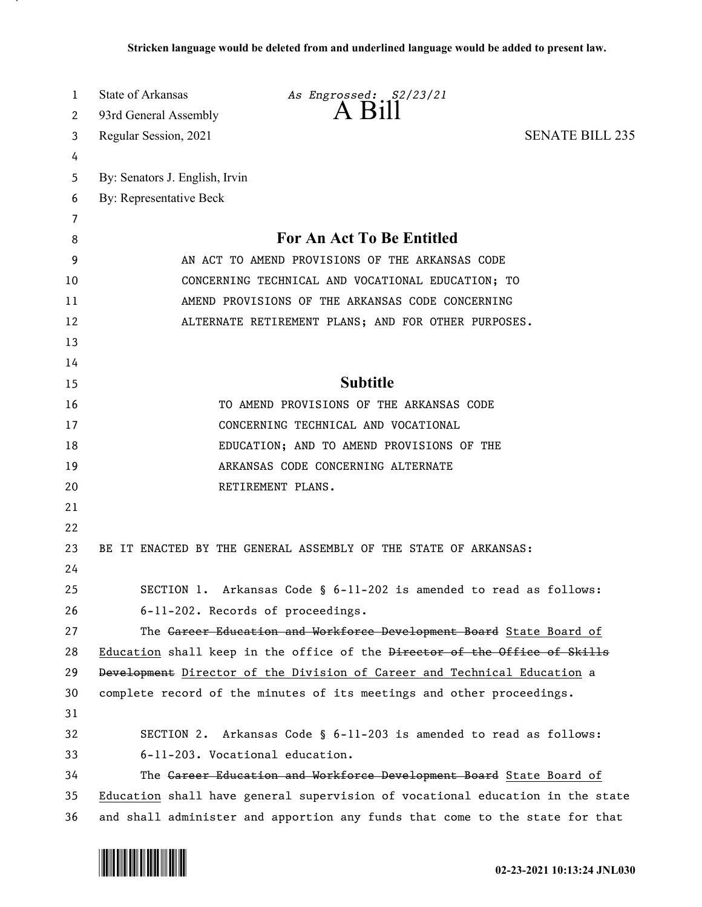| 1  | State of Arkansas              | As Engrossed: S2/23/21                                                        |                        |
|----|--------------------------------|-------------------------------------------------------------------------------|------------------------|
| 2  | 93rd General Assembly          | A R11                                                                         |                        |
| 3  | Regular Session, 2021          |                                                                               | <b>SENATE BILL 235</b> |
| 4  |                                |                                                                               |                        |
| 5  | By: Senators J. English, Irvin |                                                                               |                        |
| 6  | By: Representative Beck        |                                                                               |                        |
| 7  |                                |                                                                               |                        |
| 8  |                                | <b>For An Act To Be Entitled</b>                                              |                        |
| 9  |                                | AN ACT TO AMEND PROVISIONS OF THE ARKANSAS CODE                               |                        |
| 10 |                                | CONCERNING TECHNICAL AND VOCATIONAL EDUCATION; TO                             |                        |
| 11 |                                | AMEND PROVISIONS OF THE ARKANSAS CODE CONCERNING                              |                        |
| 12 |                                | ALTERNATE RETIREMENT PLANS; AND FOR OTHER PURPOSES.                           |                        |
| 13 |                                |                                                                               |                        |
| 14 |                                |                                                                               |                        |
| 15 |                                | <b>Subtitle</b>                                                               |                        |
| 16 |                                | TO AMEND PROVISIONS OF THE ARKANSAS CODE                                      |                        |
| 17 |                                | CONCERNING TECHNICAL AND VOCATIONAL                                           |                        |
| 18 |                                | EDUCATION; AND TO AMEND PROVISIONS OF THE                                     |                        |
| 19 |                                | ARKANSAS CODE CONCERNING ALTERNATE                                            |                        |
| 20 |                                | RETIREMENT PLANS.                                                             |                        |
| 21 |                                |                                                                               |                        |
| 22 |                                |                                                                               |                        |
| 23 |                                | BE IT ENACTED BY THE GENERAL ASSEMBLY OF THE STATE OF ARKANSAS:               |                        |
| 24 |                                |                                                                               |                        |
| 25 |                                | SECTION 1. Arkansas Code § 6-11-202 is amended to read as follows:            |                        |
| 26 |                                | 6-11-202. Records of proceedings.                                             |                        |
| 27 |                                | The Gareer Education and Workforce Development Board State Board of           |                        |
| 28 |                                | Education shall keep in the office of the Director of the Office of Skills    |                        |
| 29 |                                | Development Director of the Division of Career and Technical Education a      |                        |
| 30 |                                | complete record of the minutes of its meetings and other proceedings.         |                        |
| 31 |                                |                                                                               |                        |
| 32 |                                | SECTION 2. Arkansas Code § 6-11-203 is amended to read as follows:            |                        |
| 33 |                                | 6-11-203. Vocational education.                                               |                        |
| 34 |                                | The Gareer Education and Workforce Development Board State Board of           |                        |
| 35 |                                | Education shall have general supervision of vocational education in the state |                        |
| 36 |                                | and shall administer and apportion any funds that come to the state for that  |                        |

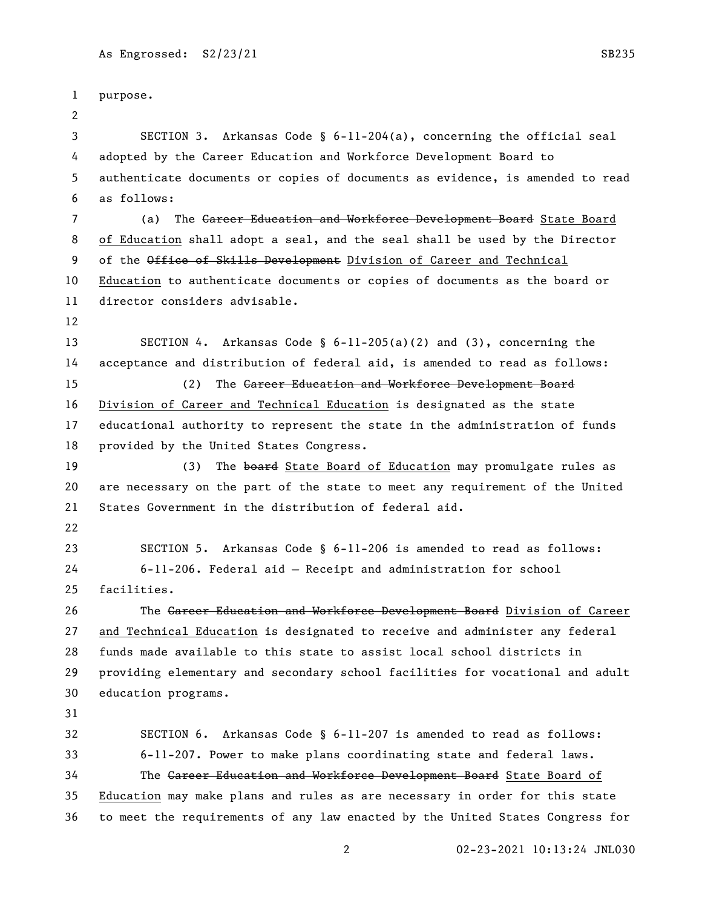purpose. SECTION 3. Arkansas Code § 6-11-204(a), concerning the official seal adopted by the Career Education and Workforce Development Board to authenticate documents or copies of documents as evidence, is amended to read as follows: 7 (a) The Career Education and Workforce Development Board State Board of Education shall adopt a seal, and the seal shall be used by the Director 9 of the Office of Skills Development Division of Career and Technical Education to authenticate documents or copies of documents as the board or director considers advisable. SECTION 4. Arkansas Code § 6-11-205(a)(2) and (3), concerning the acceptance and distribution of federal aid, is amended to read as follows: (2) The Career Education and Workforce Development Board Division of Career and Technical Education is designated as the state educational authority to represent the state in the administration of funds provided by the United States Congress. 19 (3) The board State Board of Education may promulgate rules as are necessary on the part of the state to meet any requirement of the United States Government in the distribution of federal aid. SECTION 5. Arkansas Code § 6-11-206 is amended to read as follows: 6-11-206. Federal aid — Receipt and administration for school facilities. The Career Education and Workforce Development Board Division of Career and Technical Education is designated to receive and administer any federal funds made available to this state to assist local school districts in providing elementary and secondary school facilities for vocational and adult education programs. SECTION 6. Arkansas Code § 6-11-207 is amended to read as follows: 6-11-207. Power to make plans coordinating state and federal laws. 34 The Career Education and Workforce Development Board State Board of Education may make plans and rules as are necessary in order for this state to meet the requirements of any law enacted by the United States Congress for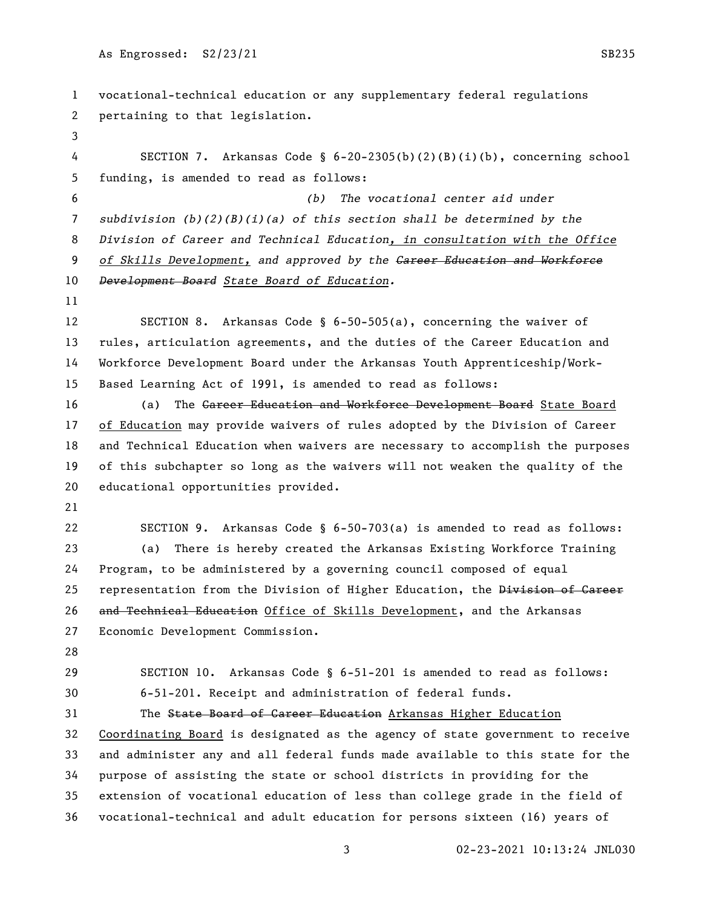vocational-technical education or any supplementary federal regulations pertaining to that legislation. SECTION 7. Arkansas Code § 6-20-2305(b)(2)(B)(i)(b), concerning school funding, is amended to read as follows: *(b) The vocational center aid under subdivision (b)(2)(B)(i)(a) of this section shall be determined by the Division of Career and Technical Education, in consultation with the Office of Skills Development, and approved by the Career Education and Workforce Development Board State Board of Education.* SECTION 8. Arkansas Code § 6-50-505(a), concerning the waiver of rules, articulation agreements, and the duties of the Career Education and Workforce Development Board under the Arkansas Youth Apprenticeship/Work- Based Learning Act of 1991, is amended to read as follows: 16 (a) The Career Education and Workforce Development Board State Board of Education may provide waivers of rules adopted by the Division of Career and Technical Education when waivers are necessary to accomplish the purposes of this subchapter so long as the waivers will not weaken the quality of the educational opportunities provided. SECTION 9. Arkansas Code § 6-50-703(a) is amended to read as follows: (a) There is hereby created the Arkansas Existing Workforce Training Program, to be administered by a governing council composed of equal 25 representation from the Division of Higher Education, the Division of Career 26 and Technical Education Office of Skills Development, and the Arkansas Economic Development Commission. SECTION 10. Arkansas Code § 6-51-201 is amended to read as follows: 6-51-201. Receipt and administration of federal funds. The State Board of Career Education Arkansas Higher Education Coordinating Board is designated as the agency of state government to receive and administer any and all federal funds made available to this state for the purpose of assisting the state or school districts in providing for the extension of vocational education of less than college grade in the field of vocational-technical and adult education for persons sixteen (16) years of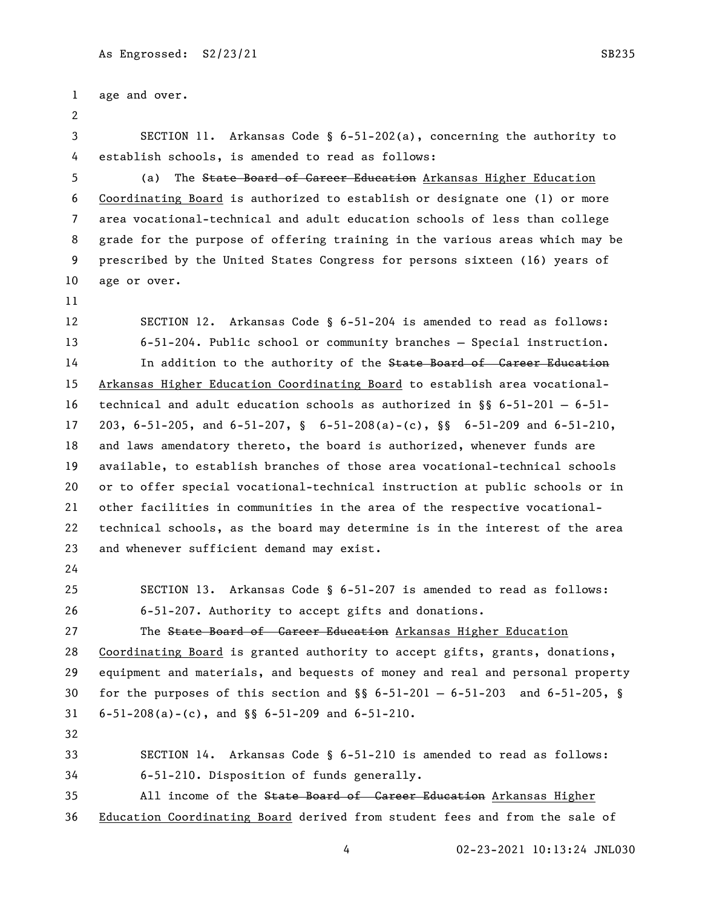```
1 age and over.
 2
3 SECTION 11. Arkansas Code § 6-51-202(a), concerning the authority to 
4 establish schools, is amended to read as follows:
5 (a) The State Board of Career Education Arkansas Higher Education 
6 Coordinating Board is authorized to establish or designate one (1) or more 
7 area vocational-technical and adult education schools of less than college 
8 grade for the purpose of offering training in the various areas which may be 
9 prescribed by the United States Congress for persons sixteen (16) years of 
10 age or over.
11
12 SECTION 12. Arkansas Code § 6-51-204 is amended to read as follows:
13 6-51-204. Public school or community branches — Special instruction.
14 In addition to the authority of the State Board of Career Education
15 Arkansas Higher Education Coordinating Board to establish area vocational-
16 technical and adult education schools as authorized in §§ 6-51-201 — 6-51-
17 203, 6-51-205, and 6-51-207, § 6-51-208(a)-(c), §§ 6-51-209 and 6-51-210, 
18 and laws amendatory thereto, the board is authorized, whenever funds are 
19 available, to establish branches of those area vocational-technical schools 
20 or to offer special vocational-technical instruction at public schools or in 
21 other facilities in communities in the area of the respective vocational-
22 technical schools, as the board may determine is in the interest of the area 
23 and whenever sufficient demand may exist.
24
25 SECTION 13. Arkansas Code § 6-51-207 is amended to read as follows:
26 6-51-207. Authority to accept gifts and donations.
27 The State Board of Career Education Arkansas Higher Education
28 Coordinating Board is granted authority to accept gifts, grants, donations, 
29 equipment and materials, and bequests of money and real and personal property 
30 for the purposes of this section and \S 6-51-201 - 6-51-203 and 6-51-205, \S31 6-51-208(a)-(c), and §§ 6-51-209 and 6-51-210.
32
33 SECTION 14. Arkansas Code § 6-51-210 is amended to read as follows:
34 6-51-210. Disposition of funds generally.
35 All income of the State Board of Career Education Arkansas Higher
36 Education Coordinating Board derived from student fees and from the sale of
```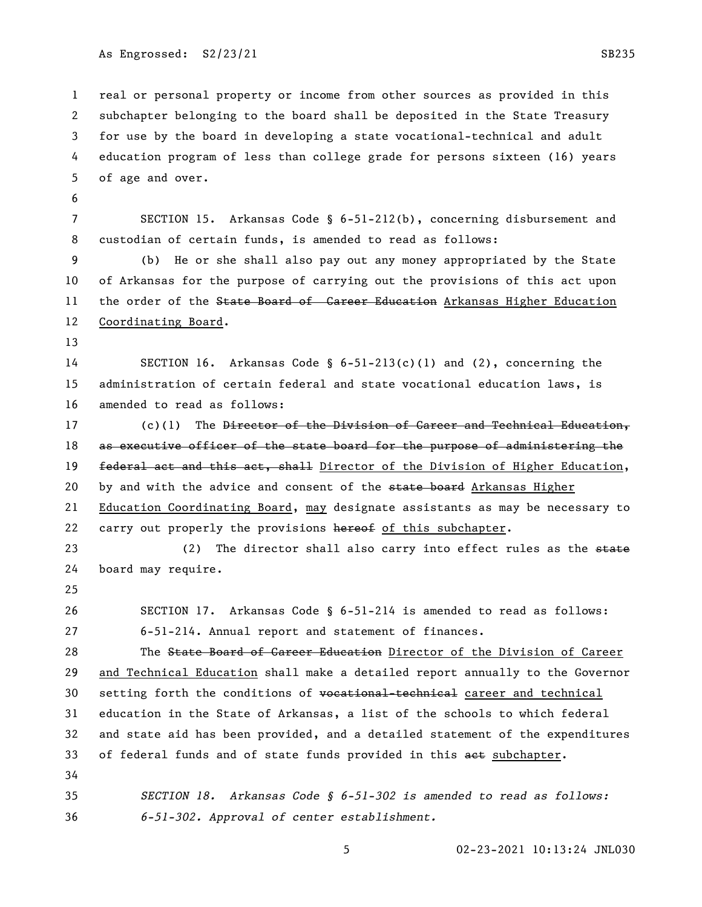real or personal property or income from other sources as provided in this subchapter belonging to the board shall be deposited in the State Treasury for use by the board in developing a state vocational-technical and adult education program of less than college grade for persons sixteen (16) years of age and over.

 SECTION 15. Arkansas Code § 6-51-212(b), concerning disbursement and custodian of certain funds, is amended to read as follows:

 (b) He or she shall also pay out any money appropriated by the State of Arkansas for the purpose of carrying out the provisions of this act upon 11 the order of the State Board of Career Education Arkansas Higher Education Coordinating Board.

 SECTION 16. Arkansas Code § 6-51-213(c)(1) and (2), concerning the administration of certain federal and state vocational education laws, is amended to read as follows:

17 (c)(1) The <del>Director of the Division of Career and Technical Education,</del> 18 as executive officer of the state board for the purpose of administering the 19 federal act and this act, shall Director of the Division of Higher Education, 20 by and with the advice and consent of the state board Arkansas Higher Education Coordinating Board, may designate assistants as may be necessary to 22 carry out properly the provisions hereof of this subchapter.

23 (2) The director shall also carry into effect rules as the state board may require.

 SECTION 17. Arkansas Code § 6-51-214 is amended to read as follows: 6-51-214. Annual report and statement of finances.

28 The State Board of Career Education Director of the Division of Career and Technical Education shall make a detailed report annually to the Governor 30 setting forth the conditions of vocational-technical career and technical education in the State of Arkansas, a list of the schools to which federal and state aid has been provided, and a detailed statement of the expenditures 33 of federal funds and of state funds provided in this aet subchapter. 

 *SECTION 18. Arkansas Code § 6-51-302 is amended to read as follows: 6-51-302. Approval of center establishment.*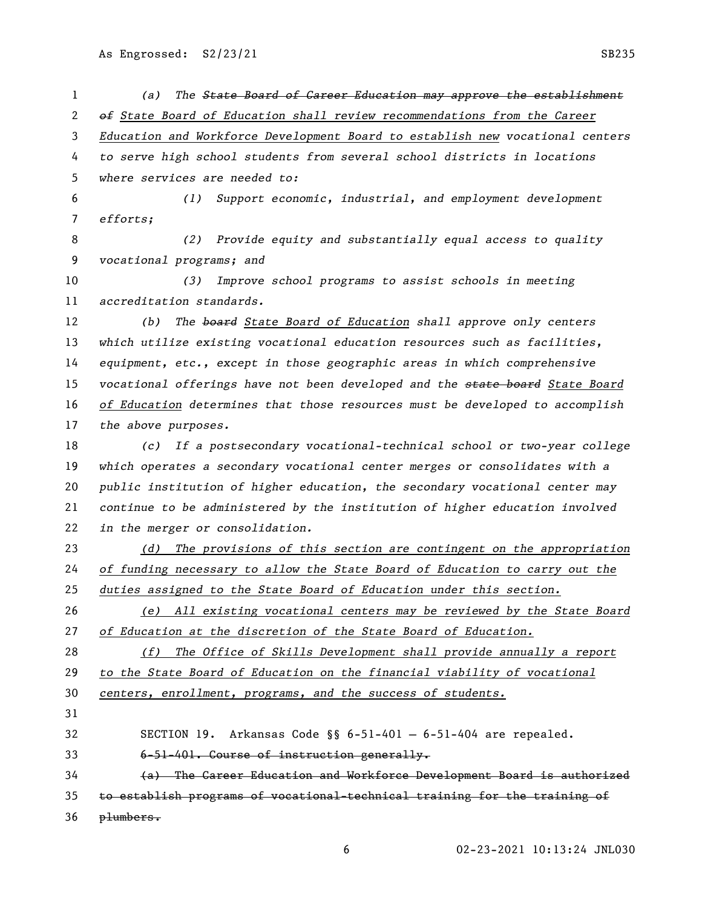| 1              | The State Board of Career Education may approve the establishment<br>(a)      |
|----------------|-------------------------------------------------------------------------------|
| 2              | of State Board of Education shall review recommendations from the Career      |
| 3              | Education and Workforce Development Board to establish new vocational centers |
| 4              | to serve high school students from several school districts in locations      |
| 5              | where services are needed to:                                                 |
| 6              | Support economic, industrial, and employment development<br>(1)               |
| $\overline{7}$ | efforts;                                                                      |
| 8              | Provide equity and substantially equal access to quality<br>(2)               |
| 9              | vocational programs; and                                                      |
| 10             | Improve school programs to assist schools in meeting<br>(3)                   |
| 11             | accreditation standards.                                                      |
| 12             | The board State Board of Education shall approve only centers<br>(b)          |
| 13             | which utilize existing vocational education resources such as facilities,     |
| 14             | equipment, etc., except in those geographic areas in which comprehensive      |
| 15             | vocational offerings have not been developed and the state board State Board  |
| 16             | of Education determines that those resources must be developed to accomplish  |
| 17             | the above purposes.                                                           |
| 18             | If a postsecondary vocational-technical school or two-year college<br>(c)     |
| 19             | which operates a secondary vocational center merges or consolidates with a    |
| 20             | public institution of higher education, the secondary vocational center may   |
| 21             | continue to be administered by the institution of higher education involved   |
| 22             | in the merger or consolidation.                                               |
| 23             | The provisions of this section are contingent on the appropriation<br>(d)     |
| 24             | of funding necessary to allow the State Board of Education to carry out the   |
| 25             | duties assigned to the State Board of Education under this section.           |
| 26             | (e) All existing vocational centers may be reviewed by the State Board        |
| 27             | of Education at the discretion of the State Board of Education.               |
| 28             | (f) The Office of Skills Development shall provide annually a report          |
| 29             | to the State Board of Education on the financial viability of vocational      |
| 30             | centers, enrollment, programs, and the success of students.                   |
| 31             |                                                                               |
| 32             | SECTION 19. Arkansas Code §§ 6-51-401 - 6-51-404 are repealed.                |
| 33             | 6-51-401. Course of instruction generally.                                    |
| 34             | (a) The Career Education and Workforce Development Board is authorized        |
| 35             | to establish programs of vocational-technical training for the training of    |
| 36             | plumbers.                                                                     |
|                |                                                                               |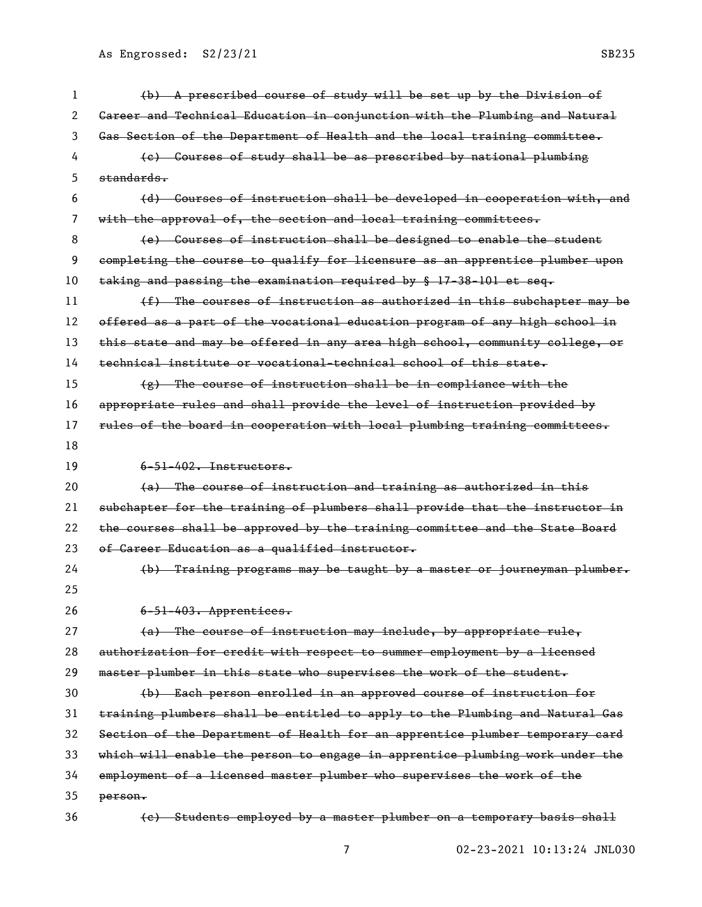| 1  | (b) A prescribed course of study will be set up by the Division of                   |
|----|--------------------------------------------------------------------------------------|
| 2  | Gareer and Technical Education in conjunction with the Plumbing and Natural          |
| 3  | Gas Section of the Department of Health and the local training committee.            |
| 4  | (e) Courses of study shall be as prescribed by national plumbing                     |
| 5  | standards.                                                                           |
| 6  | (d) Courses of instruction shall be developed in cooperation with, and               |
| 7  | with the approval of, the section and local training committees.                     |
| 8  | (e) Courses of instruction shall be designed to enable the student                   |
| 9  | completing the course to qualify for licensure as an apprentice plumber upon         |
| 10 | taking and passing the examination required by $\frac{17-38-101}{17-38-101}$ et seq. |
| 11 | (f) The courses of instruction as authorized in this subchapter may be               |
| 12 | offered as a part of the vocational education program of any high school in          |
| 13 | this state and may be offered in any area high school, community college, or         |
| 14 | technical institute or vocational-technical school of this state.                    |
| 15 | $\{g\}$ The course of instruction shall be in compliance with the                    |
| 16 | appropriate rules and shall provide the level of instruction provided by             |
| 17 | rules of the board in cooperation with local plumbing training committees.           |
| 18 |                                                                                      |
| 19 | $6-51-402$ . Instructors.                                                            |
| 20 | (a) The course of instruction and training as authorized in this                     |
| 21 | subchapter for the training of plumbers shall provide that the instructor in         |
| 22 | the courses shall be approved by the training committee and the State Board          |
| 23 | of Career Education as a qualified instructor.                                       |
| 24 | (b) Training programs may be taught by a master or journeyman plumber.               |
| 25 |                                                                                      |
| 26 | $6 - 51 - 403$ . Apprentices.                                                        |
| 27 | (a) The course of instruction may include, by appropriate rule,                      |
| 28 | authorization for credit with respect to summer employment by a licensed             |
| 29 | master plumber in this state who supervises the work of the student.                 |
| 30 | (b) Each person enrolled in an approved course of instruction for                    |
| 31 | training plumbers shall be entitled to apply to the Plumbing and Natural Gas         |
| 32 | Section of the Department of Health for an apprentice plumber temporary card         |
| 33 | which will enable the person to engage in apprentice plumbing work under the         |
| 34 | employment of a licensed master plumber who supervises the work of the               |
| 35 |                                                                                      |
|    | person.                                                                              |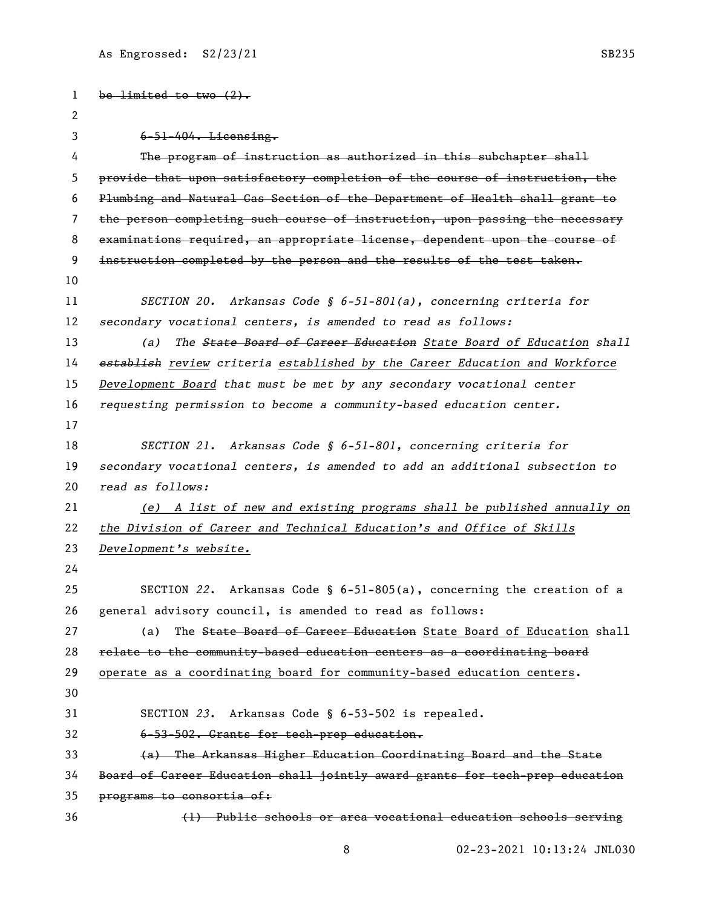```
1 be limited to two (2).
 2
 3 6-51-404. Licensing.
 4 The program of instruction as authorized in this subchapter shall 
5 provide that upon satisfactory completion of the course of instruction, the 
 6 Plumbing and Natural Gas Section of the Department of Health shall grant to 
7 the person completing such course of instruction, upon passing the necessary 
8 examinations required, an appropriate license, dependent upon the course of 
9 instruction completed by the person and the results of the test taken.
10
11 SECTION 20. Arkansas Code § 6-51-801(a), concerning criteria for 
12 secondary vocational centers, is amended to read as follows:
13 (a) The State Board of Career Education State Board of Education shall 
14 establish review criteria established by the Career Education and Workforce 
15 Development Board that must be met by any secondary vocational center 
16 requesting permission to become a community-based education center.
17
18 SECTION 21. Arkansas Code § 6-51-801, concerning criteria for 
19 secondary vocational centers, is amended to add an additional subsection to 
20 read as follows:
21 (e) A list of new and existing programs shall be published annually on 
22 the Division of Career and Technical Education's and Office of Skills 
23 Development's website.
24
25 SECTION 22. Arkansas Code § 6-51-805(a), concerning the creation of a 
26 general advisory council, is amended to read as follows:
27 (a) The State Board of Career Education State Board of Education shall
28 relate to the community-based education centers as a coordinating board
29 operate as a coordinating board for community-based education centers.
30
31 SECTION 23. Arkansas Code § 6-53-502 is repealed. 
32 6-53-502. Grants for tech-prep education.
33 (a) The Arkansas Higher Education Coordinating Board and the State 
34 Board of Career Education shall jointly award grants for tech-prep education 
35 programs to consortia of:
36 (1) Public schools or area vocational education schools serving
```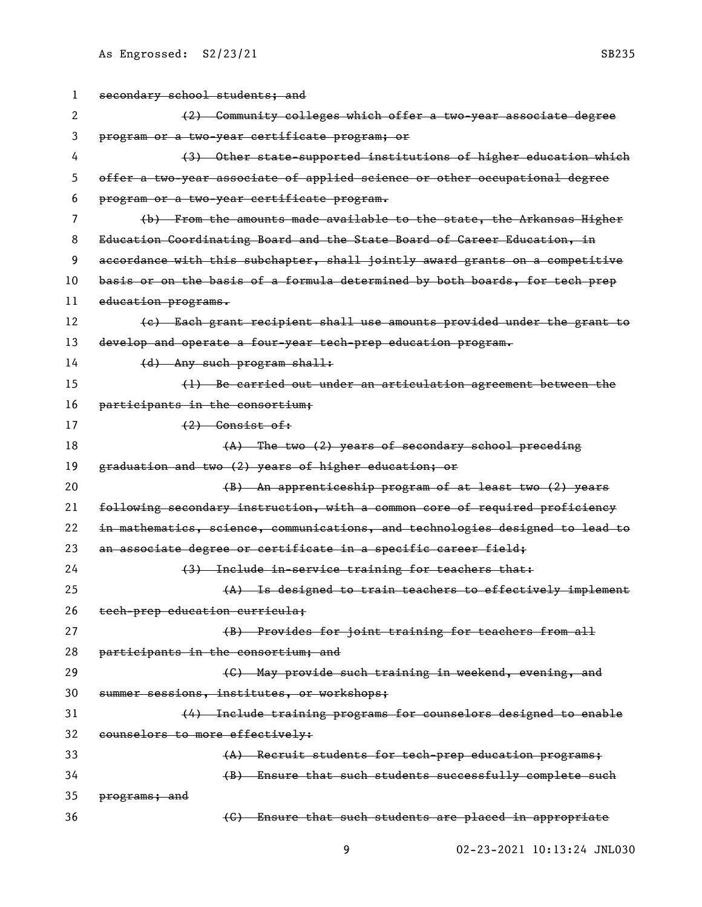| 1  | secondary school students; and                                                |
|----|-------------------------------------------------------------------------------|
| 2  | (2) Community colleges which offer a two year associate degree                |
| 3  | program or a two-year certificate program; or                                 |
| 4  | (3) Other state-supported institutions of higher education which              |
| 5  | offer a two-year associate of applied science or other occupational degree    |
| 6  | program or a two-year certificate program.                                    |
| 7  | (b) From the amounts made available to the state, the Arkansas Higher         |
| 8  | Education Coordinating Board and the State Board of Career Education, in      |
| 9  | accordance with this subchapter, shall jointly award grants on a competitive  |
| 10 | basis or on the basis of a formula determined by both boards, for tech prep   |
| 11 | education programs.                                                           |
| 12 | (e) Each grant recipient shall use amounts provided under the grant to        |
| 13 | develop and operate a four-year tech-prep education program.                  |
| 14 | (d) Any such program shall:                                                   |
| 15 | (1) Be carried out under an articulation agreement between the                |
| 16 | participants in the consortium;                                               |
| 17 | $(2)$ Consist of:                                                             |
| 18 | (A) The two (2) years of secondary school preceding                           |
| 19 | graduation and two (2) years of higher education; or                          |
| 20 | (B) An apprenticeship program of at least two (2) years                       |
| 21 | following secondary instruction, with a common core of required proficiency   |
| 22 | in mathematics, science, communications, and technologies designed to lead to |
| 23 | an associate degree or certificate in a specific career field;                |
| 24 | (3) Include in-service training for teachers that:                            |
| 25 | (A) Is designed to train teachers to effectively implement                    |
| 26 | tech-prep education curricula;                                                |
| 27 | (B) Provides for joint training for teachers from all                         |
| 28 | participants in the consortium; and                                           |
| 29 | (C) May provide such training in weekend, evening, and                        |
| 30 | summer sessions, institutes, or workshops;                                    |
| 31 | (4) Include training programs for counselors designed to enable               |
| 32 | counselors to more effectively:                                               |
| 33 | (A) Recruit students for tech-prep education programs;                        |
| 34 | (B) Ensure that such students successfully complete such                      |
| 35 | programs; and                                                                 |
| 36 | (C) Ensure that such students are placed in appropriate                       |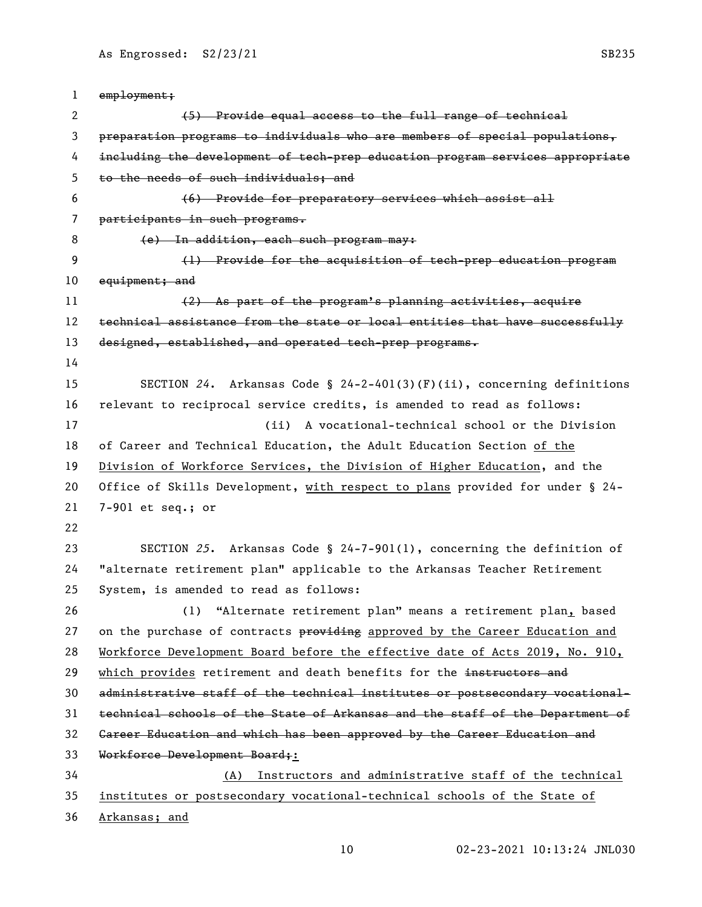employment; 2 (5) Provide equal access to the full range of technical preparation programs to individuals who are members of special populations, including the development of tech-prep education program services appropriate to the needs of such individuals; and (6) Provide for preparatory services which assist all participants in such programs. 8 (e) In addition, each such program may: (1) Provide for the acquisition of tech-prep education program 10 equipment; and 11 (2) As part of the program's planning activities, acquire 12 technical assistance from the state or local entities that have successfully 13 designed, established, and operated tech-prep programs. SECTION *24*. Arkansas Code § 24-2-401(3)(F)(ii), concerning definitions relevant to reciprocal service credits, is amended to read as follows: (ii) A vocational-technical school or the Division of Career and Technical Education, the Adult Education Section of the Division of Workforce Services, the Division of Higher Education, and the Office of Skills Development, with respect to plans provided for under § 24- 7-901 et seq.; or SECTION *25*. Arkansas Code § 24-7-901(1), concerning the definition of "alternate retirement plan" applicable to the Arkansas Teacher Retirement System, is amended to read as follows: (1) "Alternate retirement plan" means a retirement plan, based 27 on the purchase of contracts providing approved by the Career Education and Workforce Development Board before the effective date of Acts 2019, No. 910, 29 which provides retirement and death benefits for the instructors and administrative staff of the technical institutes or postsecondary vocational- technical schools of the State of Arkansas and the staff of the Department of Career Education and which has been approved by the Career Education and Workforce Development Board;: (A) Instructors and administrative staff of the technical institutes or postsecondary vocational-technical schools of the State of Arkansas; and